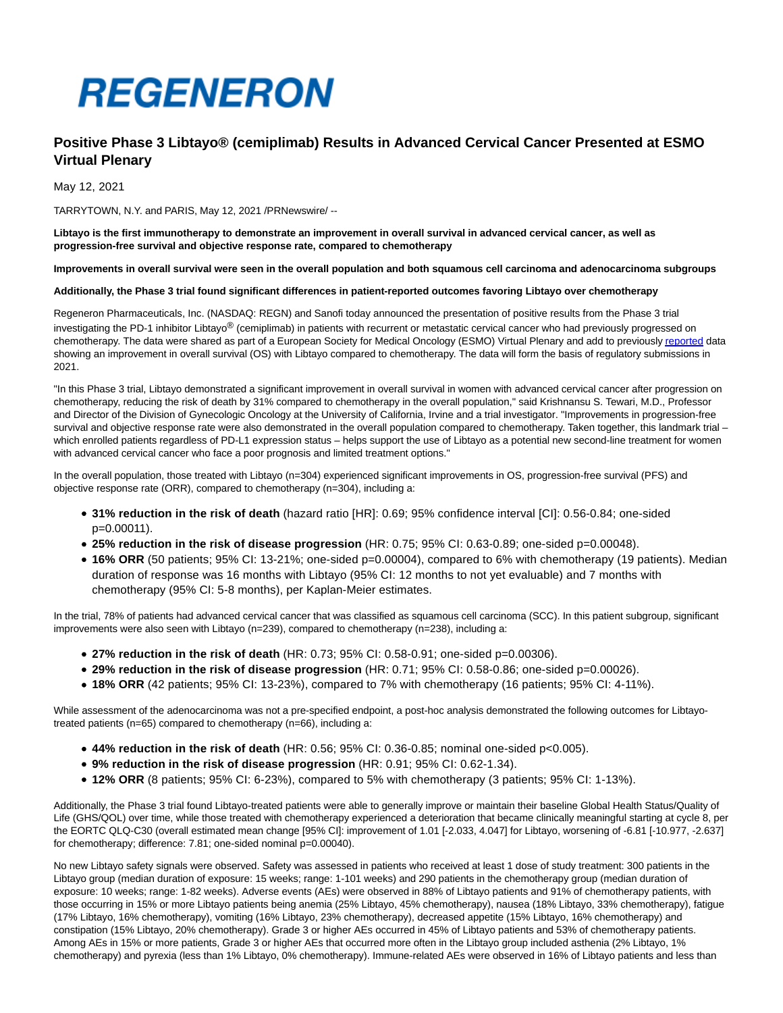

# **Positive Phase 3 Libtayo® (cemiplimab) Results in Advanced Cervical Cancer Presented at ESMO Virtual Plenary**

May 12, 2021

TARRYTOWN, N.Y. and PARIS, May 12, 2021 /PRNewswire/ --

**Libtayo is the first immunotherapy to demonstrate an improvement in overall survival in advanced cervical cancer, as well as progression-free survival and objective response rate, compared to chemotherapy**

**Improvements in overall survival were seen in the overall population and both squamous cell carcinoma and adenocarcinoma subgroups**

# **Additionally, the Phase 3 trial found significant differences in patient-reported outcomes favoring Libtayo over chemotherapy**

Regeneron Pharmaceuticals, Inc. (NASDAQ: REGN) and Sanofi today announced the presentation of positive results from the Phase 3 trial investigating the PD-1 inhibitor Libtayo® (cemiplimab) in patients with recurrent or metastatic cervical cancer who had previously progressed on chemotherapy. The data were shared as part of a European Society for Medical Oncology (ESMO) Virtual Plenary and add to previousl[y reported d](https://c212.net/c/link/?t=0&l=en&o=3161613-1&h=3194008087&u=https%3A%2F%2Finvestor.regeneron.com%2Fnews-releases%2Fnews-release-details%2Fphase-3-trial-libtayor-cemiplimab-monotherapy-advanced-cervical&a=reported)ata showing an improvement in overall survival (OS) with Libtayo compared to chemotherapy. The data will form the basis of regulatory submissions in 2021.

"In this Phase 3 trial, Libtayo demonstrated a significant improvement in overall survival in women with advanced cervical cancer after progression on chemotherapy, reducing the risk of death by 31% compared to chemotherapy in the overall population," said Krishnansu S. Tewari, M.D., Professor and Director of the Division of Gynecologic Oncology at the University of California, Irvine and a trial investigator. "Improvements in progression-free survival and objective response rate were also demonstrated in the overall population compared to chemotherapy. Taken together, this landmark trial which enrolled patients regardless of PD-L1 expression status – helps support the use of Libtayo as a potential new second-line treatment for women with advanced cervical cancer who face a poor prognosis and limited treatment options."

In the overall population, those treated with Libtayo (n=304) experienced significant improvements in OS, progression-free survival (PFS) and objective response rate (ORR), compared to chemotherapy (n=304), including a:

- **31% reduction in the risk of death** (hazard ratio [HR]: 0.69; 95% confidence interval [CI]: 0.56-0.84; one-sided p=0.00011).
- **25% reduction in the risk of disease progression** (HR: 0.75; 95% CI: 0.63-0.89; one-sided p=0.00048).
- **16% ORR** (50 patients; 95% CI: 13-21%; one-sided p=0.00004), compared to 6% with chemotherapy (19 patients). Median duration of response was 16 months with Libtayo (95% CI: 12 months to not yet evaluable) and 7 months with chemotherapy (95% CI: 5-8 months), per Kaplan-Meier estimates.

In the trial, 78% of patients had advanced cervical cancer that was classified as squamous cell carcinoma (SCC). In this patient subgroup, significant improvements were also seen with Libtayo (n=239), compared to chemotherapy (n=238), including a:

- **27% reduction in the risk of death** (HR: 0.73; 95% CI: 0.58-0.91; one-sided p=0.00306).
- **29% reduction in the risk of disease progression** (HR: 0.71; 95% CI: 0.58-0.86; one-sided p=0.00026).
- **18% ORR** (42 patients; 95% CI: 13-23%), compared to 7% with chemotherapy (16 patients; 95% CI: 4-11%).

While assessment of the adenocarcinoma was not a pre-specified endpoint, a post-hoc analysis demonstrated the following outcomes for Libtayotreated patients (n=65) compared to chemotherapy (n=66), including a:

- **44% reduction in the risk of death** (HR: 0.56; 95% CI: 0.36-0.85; nominal one-sided p<0.005).
- **9% reduction in the risk of disease progression** (HR: 0.91; 95% CI: 0.62-1.34).
- **12% ORR** (8 patients; 95% CI: 6-23%), compared to 5% with chemotherapy (3 patients; 95% CI: 1-13%).

Additionally, the Phase 3 trial found Libtayo-treated patients were able to generally improve or maintain their baseline Global Health Status/Quality of Life (GHS/QOL) over time, while those treated with chemotherapy experienced a deterioration that became clinically meaningful starting at cycle 8, per the EORTC QLQ-C30 (overall estimated mean change [95% CI]: improvement of 1.01 [-2.033, 4.047] for Libtayo, worsening of -6.81 [-10.977, -2.637] for chemotherapy; difference: 7.81; one-sided nominal p=0.00040).

No new Libtayo safety signals were observed. Safety was assessed in patients who received at least 1 dose of study treatment: 300 patients in the Libtayo group (median duration of exposure: 15 weeks; range: 1-101 weeks) and 290 patients in the chemotherapy group (median duration of exposure: 10 weeks; range: 1-82 weeks). Adverse events (AEs) were observed in 88% of Libtayo patients and 91% of chemotherapy patients, with those occurring in 15% or more Libtayo patients being anemia (25% Libtayo, 45% chemotherapy), nausea (18% Libtayo, 33% chemotherapy), fatigue (17% Libtayo, 16% chemotherapy), vomiting (16% Libtayo, 23% chemotherapy), decreased appetite (15% Libtayo, 16% chemotherapy) and constipation (15% Libtayo, 20% chemotherapy). Grade 3 or higher AEs occurred in 45% of Libtayo patients and 53% of chemotherapy patients. Among AEs in 15% or more patients, Grade 3 or higher AEs that occurred more often in the Libtayo group included asthenia (2% Libtayo, 1% chemotherapy) and pyrexia (less than 1% Libtayo, 0% chemotherapy). Immune-related AEs were observed in 16% of Libtayo patients and less than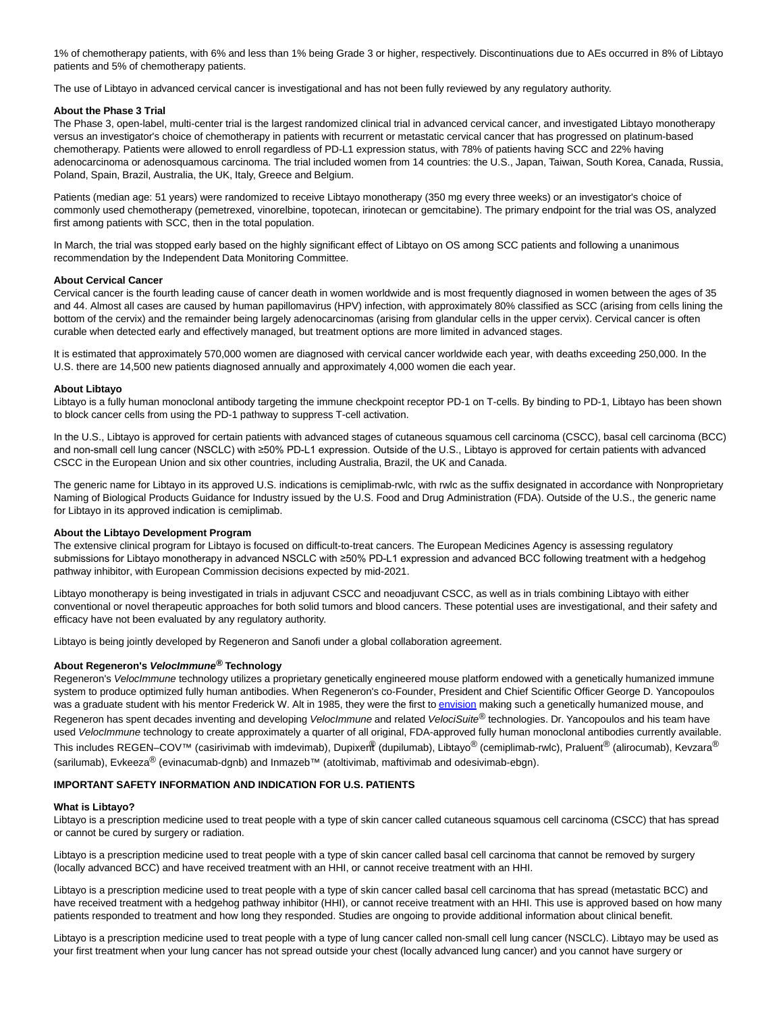1% of chemotherapy patients, with 6% and less than 1% being Grade 3 or higher, respectively. Discontinuations due to AEs occurred in 8% of Libtayo patients and 5% of chemotherapy patients.

The use of Libtayo in advanced cervical cancer is investigational and has not been fully reviewed by any regulatory authority.

#### **About the Phase 3 Trial**

The Phase 3, open-label, multi-center trial is the largest randomized clinical trial in advanced cervical cancer, and investigated Libtayo monotherapy versus an investigator's choice of chemotherapy in patients with recurrent or metastatic cervical cancer that has progressed on platinum-based chemotherapy. Patients were allowed to enroll regardless of PD-L1 expression status, with 78% of patients having SCC and 22% having adenocarcinoma or adenosquamous carcinoma. The trial included women from 14 countries: the U.S., Japan, Taiwan, South Korea, Canada, Russia, Poland, Spain, Brazil, Australia, the UK, Italy, Greece and Belgium.

Patients (median age: 51 years) were randomized to receive Libtayo monotherapy (350 mg every three weeks) or an investigator's choice of commonly used chemotherapy (pemetrexed, vinorelbine, topotecan, irinotecan or gemcitabine). The primary endpoint for the trial was OS, analyzed first among patients with SCC, then in the total population.

In March, the trial was stopped early based on the highly significant effect of Libtayo on OS among SCC patients and following a unanimous recommendation by the Independent Data Monitoring Committee.

### **About Cervical Cancer**

Cervical cancer is the fourth leading cause of cancer death in women worldwide and is most frequently diagnosed in women between the ages of 35 and 44. Almost all cases are caused by human papillomavirus (HPV) infection, with approximately 80% classified as SCC (arising from cells lining the bottom of the cervix) and the remainder being largely adenocarcinomas (arising from glandular cells in the upper cervix). Cervical cancer is often curable when detected early and effectively managed, but treatment options are more limited in advanced stages.

It is estimated that approximately 570,000 women are diagnosed with cervical cancer worldwide each year, with deaths exceeding 250,000. In the U.S. there are 14,500 new patients diagnosed annually and approximately 4,000 women die each year.

#### **About Libtayo**

Libtayo is a fully human monoclonal antibody targeting the immune checkpoint receptor PD-1 on T-cells. By binding to PD-1, Libtayo has been shown to block cancer cells from using the PD-1 pathway to suppress T-cell activation.

In the U.S., Libtayo is approved for certain patients with advanced stages of cutaneous squamous cell carcinoma (CSCC), basal cell carcinoma (BCC) and non-small cell lung cancer (NSCLC) with ≥50% PD-L1 expression. Outside of the U.S., Libtayo is approved for certain patients with advanced CSCC in the European Union and six other countries, including Australia, Brazil, the UK and Canada.

The generic name for Libtayo in its approved U.S. indications is cemiplimab-rwlc, with rwlc as the suffix designated in accordance with Nonproprietary Naming of Biological Products Guidance for Industry issued by the U.S. Food and Drug Administration (FDA). Outside of the U.S., the generic name for Libtayo in its approved indication is cemiplimab.

#### **About the Libtayo Development Program**

The extensive clinical program for Libtayo is focused on difficult-to-treat cancers. The European Medicines Agency is assessing regulatory submissions for Libtayo monotherapy in advanced NSCLC with ≥50% PD-L1 expression and advanced BCC following treatment with a hedgehog pathway inhibitor, with European Commission decisions expected by mid-2021.

Libtayo monotherapy is being investigated in trials in adjuvant CSCC and neoadjuvant CSCC, as well as in trials combining Libtayo with either conventional or novel therapeutic approaches for both solid tumors and blood cancers. These potential uses are investigational, and their safety and efficacy have not been evaluated by any regulatory authority.

Libtayo is being jointly developed by Regeneron and Sanofi under a global collaboration agreement.

### **About Regeneron's VelocImmune® Technology**

Regeneron's VelocImmune technology utilizes a proprietary genetically engineered mouse platform endowed with a genetically humanized immune system to produce optimized fully human antibodies. When Regeneron's co-Founder, President and Chief Scientific Officer George D. Yancopoulos was a graduate student with his mentor Frederick W. Alt in 1985, they were the first t[o envision m](https://c212.net/c/link/?t=0&l=en&o=3161613-1&h=1765212535&u=https%3A%2F%2Fwww.sciencedirect.com%2Fscience%2Farticle%2Fabs%2Fpii%2F0168952585900897&a=envision)aking such a genetically humanized mouse, and Regeneron has spent decades inventing and developing Veloclmmune and related VelociSuite® technologies. Dr. Yancopoulos and his team have used VelocImmune technology to create approximately a quarter of all original, FDA-approved fully human monoclonal antibodies currently available. This includes REGEN–COV™ (casirivimab with imdevimab), Dupixer $\mathbb{R}$  (dupilumab), Libtayo® (cemiplimab-rwlc), Praluent<sup>®</sup> (alirocumab), Kevzara® (sarilumab), Evkeeza® (evinacumab-dgnb) and Inmazeb™ (atoltivimab, maftivimab and odesivimab-ebgn).

### **IMPORTANT SAFETY INFORMATION AND INDICATION FOR U.S. PATIENTS**

#### **What is Libtayo?**

Libtayo is a prescription medicine used to treat people with a type of skin cancer called cutaneous squamous cell carcinoma (CSCC) that has spread or cannot be cured by surgery or radiation.

Libtayo is a prescription medicine used to treat people with a type of skin cancer called basal cell carcinoma that cannot be removed by surgery (locally advanced BCC) and have received treatment with an HHI, or cannot receive treatment with an HHI.

Libtayo is a prescription medicine used to treat people with a type of skin cancer called basal cell carcinoma that has spread (metastatic BCC) and have received treatment with a hedgehog pathway inhibitor (HHI), or cannot receive treatment with an HHI. This use is approved based on how many patients responded to treatment and how long they responded. Studies are ongoing to provide additional information about clinical benefit.

Libtayo is a prescription medicine used to treat people with a type of lung cancer called non-small cell lung cancer (NSCLC). Libtayo may be used as your first treatment when your lung cancer has not spread outside your chest (locally advanced lung cancer) and you cannot have surgery or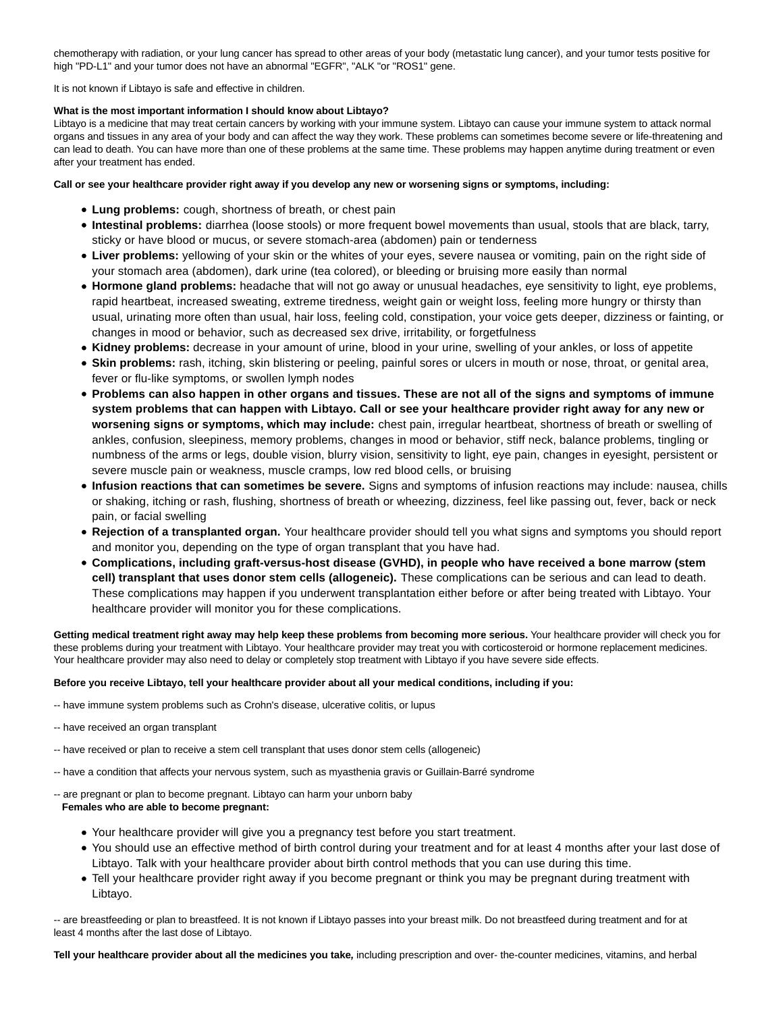chemotherapy with radiation, or your lung cancer has spread to other areas of your body (metastatic lung cancer), and your tumor tests positive for high "PD-L1" and your tumor does not have an abnormal "EGFR", "ALK "or "ROS1" gene.

It is not known if Libtayo is safe and effective in children.

### **What is the most important information I should know about Libtayo?**

Libtayo is a medicine that may treat certain cancers by working with your immune system. Libtayo can cause your immune system to attack normal organs and tissues in any area of your body and can affect the way they work. These problems can sometimes become severe or life-threatening and can lead to death. You can have more than one of these problems at the same time. These problems may happen anytime during treatment or even after your treatment has ended.

### **Call or see your healthcare provider right away if you develop any new or worsening signs or symptoms, including:**

- **Lung problems:** cough, shortness of breath, or chest pain
- **Intestinal problems:** diarrhea (loose stools) or more frequent bowel movements than usual, stools that are black, tarry, sticky or have blood or mucus, or severe stomach-area (abdomen) pain or tenderness
- **Liver problems:** yellowing of your skin or the whites of your eyes, severe nausea or vomiting, pain on the right side of your stomach area (abdomen), dark urine (tea colored), or bleeding or bruising more easily than normal
- **Hormone gland problems:** headache that will not go away or unusual headaches, eye sensitivity to light, eye problems, rapid heartbeat, increased sweating, extreme tiredness, weight gain or weight loss, feeling more hungry or thirsty than usual, urinating more often than usual, hair loss, feeling cold, constipation, your voice gets deeper, dizziness or fainting, or changes in mood or behavior, such as decreased sex drive, irritability, or forgetfulness
- **Kidney problems:** decrease in your amount of urine, blood in your urine, swelling of your ankles, or loss of appetite
- **Skin problems:** rash, itching, skin blistering or peeling, painful sores or ulcers in mouth or nose, throat, or genital area, fever or flu-like symptoms, or swollen lymph nodes
- **Problems can also happen in other organs and tissues. These are not all of the signs and symptoms of immune system problems that can happen with Libtayo. Call or see your healthcare provider right away for any new or worsening signs or symptoms, which may include:** chest pain, irregular heartbeat, shortness of breath or swelling of ankles, confusion, sleepiness, memory problems, changes in mood or behavior, stiff neck, balance problems, tingling or numbness of the arms or legs, double vision, blurry vision, sensitivity to light, eye pain, changes in eyesight, persistent or severe muscle pain or weakness, muscle cramps, low red blood cells, or bruising
- **Infusion reactions that can sometimes be severe.** Signs and symptoms of infusion reactions may include: nausea, chills or shaking, itching or rash, flushing, shortness of breath or wheezing, dizziness, feel like passing out, fever, back or neck pain, or facial swelling
- **Rejection of a transplanted organ.** Your healthcare provider should tell you what signs and symptoms you should report and monitor you, depending on the type of organ transplant that you have had.
- **Complications, including graft-versus-host disease (GVHD), in people who have received a bone marrow (stem cell) transplant that uses donor stem cells (allogeneic).** These complications can be serious and can lead to death. These complications may happen if you underwent transplantation either before or after being treated with Libtayo. Your healthcare provider will monitor you for these complications.

**Getting medical treatment right away may help keep these problems from becoming more serious.** Your healthcare provider will check you for these problems during your treatment with Libtayo. Your healthcare provider may treat you with corticosteroid or hormone replacement medicines. Your healthcare provider may also need to delay or completely stop treatment with Libtayo if you have severe side effects.

# **Before you receive Libtayo, tell your healthcare provider about all your medical conditions, including if you:**

- -- have immune system problems such as Crohn's disease, ulcerative colitis, or lupus
- -- have received an organ transplant
- -- have received or plan to receive a stem cell transplant that uses donor stem cells (allogeneic)
- -- have a condition that affects your nervous system, such as myasthenia gravis or Guillain-Barré syndrome
- -- are pregnant or plan to become pregnant. Libtayo can harm your unborn baby  **Females who are able to become pregnant:**
	- Your healthcare provider will give you a pregnancy test before you start treatment.
	- You should use an effective method of birth control during your treatment and for at least 4 months after your last dose of Libtayo. Talk with your healthcare provider about birth control methods that you can use during this time.
	- Tell your healthcare provider right away if you become pregnant or think you may be pregnant during treatment with Libtayo.

-- are breastfeeding or plan to breastfeed. It is not known if Libtayo passes into your breast milk. Do not breastfeed during treatment and for at least 4 months after the last dose of Libtayo.

**Tell your healthcare provider about all the medicines you take,** including prescription and over- the-counter medicines, vitamins, and herbal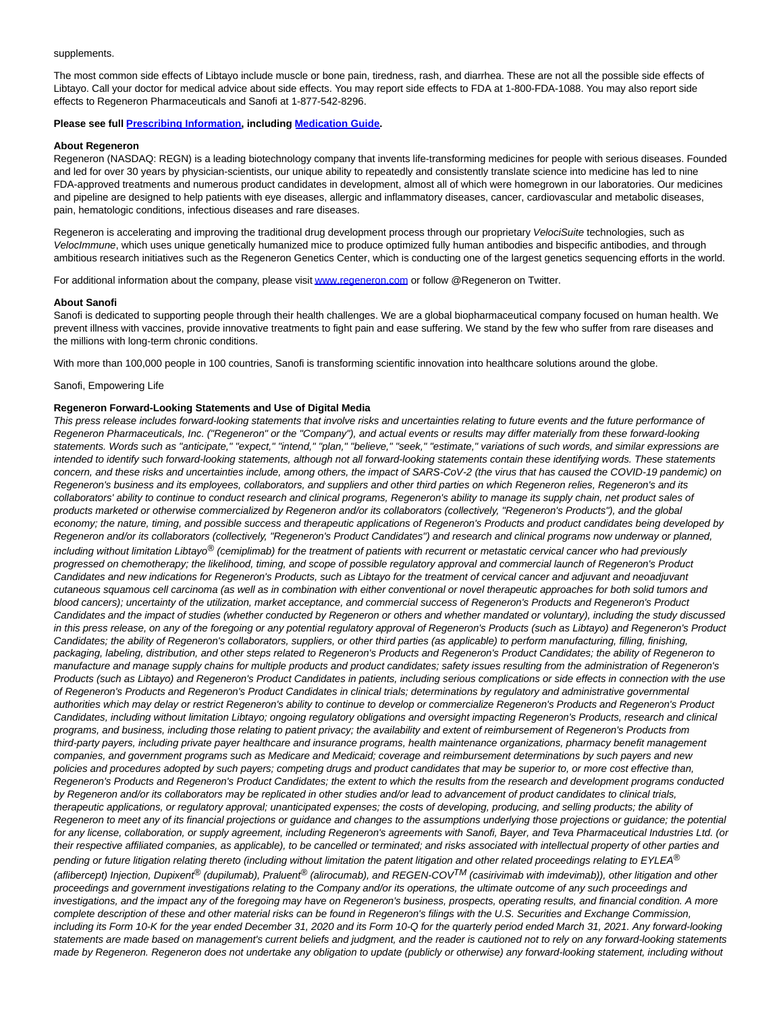#### supplements.

The most common side effects of Libtayo include muscle or bone pain, tiredness, rash, and diarrhea. These are not all the possible side effects of Libtayo. Call your doctor for medical advice about side effects. You may report side effects to FDA at 1-800-FDA-1088. You may also report side effects to Regeneron Pharmaceuticals and Sanofi at 1-877-542-8296.

### **Please see full [Prescribing Information,](https://c212.net/c/link/?t=0&l=en&o=3161613-1&h=1439489138&u=https%3A%2F%2Fwww.regeneron.com%2Fsites%2Fdefault%2Ffiles%2FLibtayo_FPI.pdf&a=Prescribing+Information) including [Medication Guide.](https://c212.net/c/link/?t=0&l=en&o=3161613-1&h=1167907314&u=https%3A%2F%2Fwww.regeneron.com%2Fsites%2Fdefault%2Ffiles%2Fx1216(3)a.pdf&a=Medication+Guide)**

# **About Regeneron**

Regeneron (NASDAQ: REGN) is a leading biotechnology company that invents life-transforming medicines for people with serious diseases. Founded and led for over 30 years by physician-scientists, our unique ability to repeatedly and consistently translate science into medicine has led to nine FDA-approved treatments and numerous product candidates in development, almost all of which were homegrown in our laboratories. Our medicines and pipeline are designed to help patients with eye diseases, allergic and inflammatory diseases, cancer, cardiovascular and metabolic diseases, pain, hematologic conditions, infectious diseases and rare diseases.

Regeneron is accelerating and improving the traditional drug development process through our proprietary VelociSuite technologies, such as VelocImmune, which uses unique genetically humanized mice to produce optimized fully human antibodies and bispecific antibodies, and through ambitious research initiatives such as the Regeneron Genetics Center, which is conducting one of the largest genetics sequencing efforts in the world.

For additional information about the company, please visi[t www.regeneron.com o](https://c212.net/c/link/?t=0&l=en&o=3161613-1&h=315940757&u=https%3A%2F%2Fwww.regeneron.com%2F&a=www.regeneron.com)r follow @Regeneron on Twitter.

#### **About Sanofi**

Sanofi is dedicated to supporting people through their health challenges. We are a global biopharmaceutical company focused on human health. We prevent illness with vaccines, provide innovative treatments to fight pain and ease suffering. We stand by the few who suffer from rare diseases and the millions with long-term chronic conditions.

With more than 100,000 people in 100 countries, Sanofi is transforming scientific innovation into healthcare solutions around the globe.

# Sanofi, Empowering Life

#### **Regeneron Forward-Looking Statements and Use of Digital Media**

This press release includes forward-looking statements that involve risks and uncertainties relating to future events and the future performance of Regeneron Pharmaceuticals, Inc. ("Regeneron" or the "Company"), and actual events or results may differ materially from these forward-looking statements. Words such as "anticipate," "expect," "intend," "plan," "believe," "seek," "estimate," variations of such words, and similar expressions are intended to identify such forward-looking statements, although not all forward-looking statements contain these identifying words. These statements concern, and these risks and uncertainties include, among others, the impact of SARS-CoV-2 (the virus that has caused the COVID-19 pandemic) on Regeneron's business and its employees, collaborators, and suppliers and other third parties on which Regeneron relies, Regeneron's and its collaborators' ability to continue to conduct research and clinical programs, Regeneron's ability to manage its supply chain, net product sales of products marketed or otherwise commercialized by Regeneron and/or its collaborators (collectively, "Regeneron's Products"), and the global economy; the nature, timing, and possible success and therapeutic applications of Regeneron's Products and product candidates being developed by Regeneron and/or its collaborators (collectively, "Regeneron's Product Candidates") and research and clinical programs now underway or planned, including without limitation Libtayo<sup>®</sup> (cemiplimab) for the treatment of patients with recurrent or metastatic cervical cancer who had previously progressed on chemotherapy; the likelihood, timing, and scope of possible regulatory approval and commercial launch of Regeneron's Product Candidates and new indications for Regeneron's Products, such as Libtayo for the treatment of cervical cancer and adjuvant and neoadjuvant cutaneous squamous cell carcinoma (as well as in combination with either conventional or novel therapeutic approaches for both solid tumors and blood cancers); uncertainty of the utilization, market acceptance, and commercial success of Regeneron's Products and Regeneron's Product Candidates and the impact of studies (whether conducted by Regeneron or others and whether mandated or voluntary), including the study discussed in this press release, on any of the foregoing or any potential regulatory approval of Regeneron's Products (such as Libtayo) and Regeneron's Product Candidates; the ability of Regeneron's collaborators, suppliers, or other third parties (as applicable) to perform manufacturing, filling, finishing, packaging, labeling, distribution, and other steps related to Regeneron's Products and Regeneron's Product Candidates; the ability of Regeneron to manufacture and manage supply chains for multiple products and product candidates; safety issues resulting from the administration of Regeneron's Products (such as Libtayo) and Regeneron's Product Candidates in patients, including serious complications or side effects in connection with the use of Regeneron's Products and Regeneron's Product Candidates in clinical trials; determinations by regulatory and administrative governmental authorities which may delay or restrict Regeneron's ability to continue to develop or commercialize Regeneron's Products and Regeneron's Product Candidates, including without limitation Libtayo; ongoing regulatory obligations and oversight impacting Regeneron's Products, research and clinical programs, and business, including those relating to patient privacy; the availability and extent of reimbursement of Regeneron's Products from third-party payers, including private payer healthcare and insurance programs, health maintenance organizations, pharmacy benefit management companies, and government programs such as Medicare and Medicaid; coverage and reimbursement determinations by such payers and new policies and procedures adopted by such payers; competing drugs and product candidates that may be superior to, or more cost effective than, Regeneron's Products and Regeneron's Product Candidates; the extent to which the results from the research and development programs conducted by Regeneron and/or its collaborators may be replicated in other studies and/or lead to advancement of product candidates to clinical trials, therapeutic applications, or regulatory approval; unanticipated expenses; the costs of developing, producing, and selling products; the ability of Regeneron to meet any of its financial projections or guidance and changes to the assumptions underlying those projections or guidance; the potential for any license, collaboration, or supply agreement, including Regeneron's agreements with Sanofi, Bayer, and Teva Pharmaceutical Industries Ltd. (or their respective affiliated companies, as applicable), to be cancelled or terminated; and risks associated with intellectual property of other parties and pending or future litigation relating thereto (including without limitation the patent litigation and other related proceedings relating to EYLEA® (aflibercept) Injection, Dupixent<sup>®</sup> (dupilumab), Praluent<sup>®</sup> (alirocumab), and REGEN-COV<sup>TM</sup> (casirivimab with imdevimab)), other litigation and other proceedings and government investigations relating to the Company and/or its operations, the ultimate outcome of any such proceedings and investigations, and the impact any of the foregoing may have on Regeneron's business, prospects, operating results, and financial condition. A more complete description of these and other material risks can be found in Regeneron's filings with the U.S. Securities and Exchange Commission, including its Form 10-K for the year ended December 31, 2020 and its Form 10-Q for the quarterly period ended March 31, 2021. Any forward-looking statements are made based on management's current beliefs and judgment, and the reader is cautioned not to rely on any forward-looking statements made by Regeneron. Regeneron does not undertake any obligation to update (publicly or otherwise) any forward-looking statement, including without